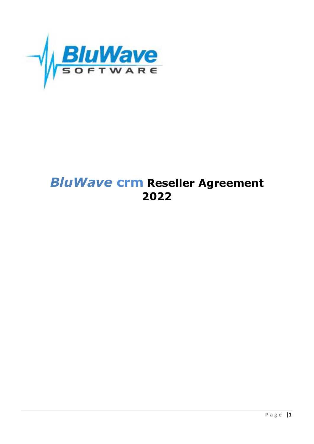

# **BluWave crm Reseller Agreement** 2022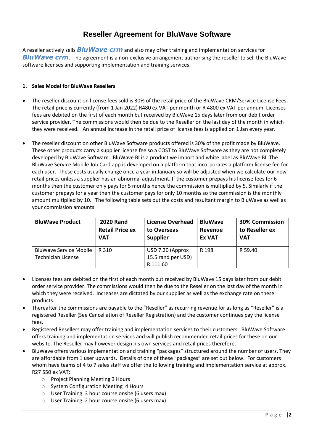# **Reseller Agreement for BluWave Software**

A reseller actively sells *BluWave crm* and also may offer training and implementation services for *BluWave crm*. The agreement is a non-exclusive arrangement authorising the reseller to sell the BluWave software licenses and supporting implementation and training services.

#### **1. Sales Model for BluWave Resellers**

- The reseller discount on license fees sold is 30% of the retail price of the BluWave CRM/Service License Fees. The retail price is currently (from 1 Jan 2022) R480 ex VAT per month or R 4800 ex VAT per annum. Licenses fees are debited on the first of each month but received by BluWave 15 days later from our debit order service provider. The commissions would then be due to the Reseller on the last day of the month in which they were received. An annual increase in the retail price of license fees is applied on 1 Jan every year.
- The reseller discount on other BluWave Software products offered is 30% of the profit made by BluWave. These other products carry a supplier license fee so a COST to BluWave Software as they are not completely developed by BluWave Software. BluWave BI is a product we import and white label as BluWave BI. The BluWave Service Mobile Job Card app is developed on a platform that incorporates a platform license fee for each user. These costs usually change once a year in January so will be adjusted when we calculate our new retail prices unless a supplier has an abnormal adjustment. If the customer prepays his license fees for 6 months then the customer only pays for 5 months hence the commission is multiplied by 5. Similarly if the customer prepays for a year then the customer pays for only 10 months so the commission is the monthly amount multiplied by 10. The following table sets out the costs and resultant margin to BluWave as well as your commission amounts:

| <b>BluWave Product</b>                                     | <b>2020 Rand</b>       | <b>License Overhead</b>                            | <b>BluWave</b> | <b>30% Commission</b> |
|------------------------------------------------------------|------------------------|----------------------------------------------------|----------------|-----------------------|
|                                                            | <b>Retail Price ex</b> | to Overseas                                        | <b>Revenue</b> | to Reseller ex        |
|                                                            | <b>VAT</b>             | <b>Supplier</b>                                    | <b>Ex VAT</b>  | <b>VAT</b>            |
| <b>BluWave Service Mobile</b><br><b>Technician License</b> | R 310                  | USD 7.20 (Approx<br>15.5 rand per USD)<br>R 111.60 | R 198          | R 59.40               |

- Licenses fees are debited on the first of each month but received by BluWave 15 days later from our debit order service provider. The commissions would then be due to the Reseller on the last day of the month in which they were received. Increases are dictated by our supplier as well as the exchange rate on these products.
- Thereafter the commissions are payable to the "Reseller" as recurring revenue for as long as "Reseller" is a registered Reseller (See Cancellation of Reseller Registration) and the customer continues pay the license fees.
- Registered Resellers may offer training and implementation services to their customers. BluWave Software offers training and implementation services and will publish recommended retail prices for these on our website. The Reseller may however design his own services and retail prices therefore.
- BluWave offers various implementation and training "packages" structured around the number of users. They are affordable from 1 user upwards. Details of one of these "packages" are set out below. For customers whom have teams of 4 to 7 sales staff we offer the following training and implementation service at approx. R27 550 ex VAT:
	- o Project Planning Meeting 3 Hours
	- o System Configuration Meeting 4 Hours
	- o User Training 3 hour course onsite (6 users max)
	- o User Training 2 hour course onsite (6 users max)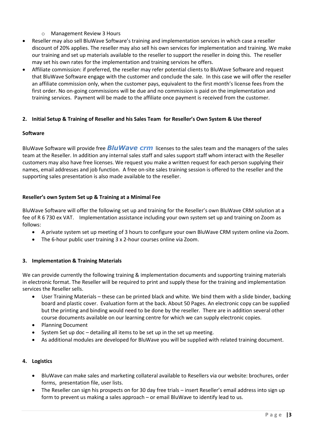- o Management Review 3 Hours
- Reseller may also sell BluWave Software's training and implementation services in which case a reseller discount of 20% applies. The reseller may also sell his own services for implementation and training. We make our training and set up materials available to the reseller to support the reseller in doing this. The reseller may set his own rates for the implementation and training services he offers.
- Affiliate commission: if preferred, the reseller may refer potential clients to BluWave Software and request that BluWave Software engage with the customer and conclude the sale. In this case we will offer the reseller an affiliate commission only, when the customer pays, equivalent to the first month's license fees from the first order. No on-going commissions will be due and no commission is paid on the implementation and training services. Payment will be made to the affiliate once payment is received from the customer.

#### **2. Initial Setup & Training of Reseller and his Sales Team for Reseller's Own System & Use thereof**

#### **Software**

BluWave Software will provide free *BluWave crm* licenses to the sales team and the managers of the sales team at the Reseller. In addition any internal sales staff and sales support staff whom interact with the Reseller customers may also have free licenses. We request you make a written request for each person supplying their names, email addresses and job function. A free on-site sales training session is offered to the reseller and the supporting sales presentation is also made available to the reseller.

#### **Reseller's own System Set up & Training at a Minimal Fee**

BluWave Software will offer the following set up and training for the Reseller's own BluWave CRM solution at a fee of R 6 730 ex VAT. Implementation assistance including your own system set up and training on Zoom as follows:

- A private system set up meeting of 3 hours to configure your own BluWave CRM system online via Zoom.
- The 6-hour public user training 3 x 2-hour courses online via Zoom.

#### **3. Implementation & Training Materials**

We can provide currently the following training & implementation documents and supporting training materials in electronic format. The Reseller will be required to print and supply these for the training and implementation services the Reseller sells.

- User Training Materials these can be printed black and white. We bind them with a slide binder, backing board and plastic cover. Evaluation form at the back. About 50 Pages. An electronic copy can be supplied but the printing and binding would need to be done by the reseller. There are in addition several other course documents available on our learning centre for which we can supply electronic copies.
- Planning Document
- System Set up doc detailing all items to be set up in the set up meeting.
- As additional modules are developed for BluWave you will be supplied with related training document.

#### **4. Logistics**

- BluWave can make sales and marketing collateral available to Resellers via our website: brochures, order forms, presentation file, user lists.
- The Reseller can sign his prospects on for 30 day free trials insert Reseller's email address into sign up form to prevent us making a sales approach – or email BluWave to identify lead to us.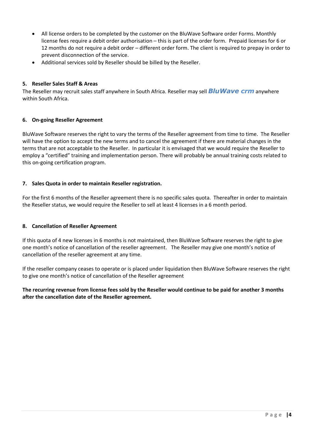- All license orders to be completed by the customer on the BluWave Software order Forms. Monthly license fees require a debit order authorisation – this is part of the order form. Prepaid licenses for 6 or 12 months do not require a debit order – different order form. The client is required to prepay in order to prevent disconnection of the service.
- Additional services sold by Reseller should be billed by the Reseller.

#### **5. Reseller Sales Staff & Areas**

The Reseller may recruit sales staff anywhere in South Africa. Reseller may sell *BluWave crm* anywhere within South Africa.

#### **6. On-going Reseller Agreement**

BluWave Software reserves the right to vary the terms of the Reseller agreement from time to time. The Reseller will have the option to accept the new terms and to cancel the agreement if there are material changes in the terms that are not acceptable to the Reseller. In particular it is envisaged that we would require the Reseller to employ a "certified" training and implementation person. There will probably be annual training costs related to this on-going certification program.

#### **7. Sales Quota in order to maintain Reseller registration.**

For the first 6 months of the Reseller agreement there is no specific sales quota. Thereafter in order to maintain the Reseller status, we would require the Reseller to sell at least 4 licenses in a 6 month period.

#### **8. Cancellation of Reseller Agreement**

If this quota of 4 new licenses in 6 months is not maintained, then BluWave Software reserves the right to give one month's notice of cancellation of the reseller agreement. The Reseller may give one month's notice of cancellation of the reseller agreement at any time.

If the reseller company ceases to operate or is placed under liquidation then BluWave Software reserves the right to give one month's notice of cancellation of the Reseller agreement

**The recurring revenue from license fees sold by the Reseller would continue to be paid for another 3 months after the cancellation date of the Reseller agreement.**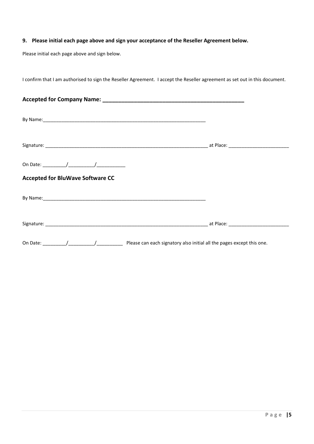#### **9. Please initial each page above and sign your acceptance of the Reseller Agreement below.**

Please initial each page above and sign below.

I confirm that I am authorised to sign the Reseller Agreement. I accept the Reseller agreement as set out in this document.

| <b>Accepted for BluWave Software CC</b>                                                                                                                                                                                       |  |
|-------------------------------------------------------------------------------------------------------------------------------------------------------------------------------------------------------------------------------|--|
| By Name: Name: 2008 and 2008 and 2008 and 2008 and 2008 and 2008 and 2008 and 2008 and 2008 and 2008 and 2008 and 2008 and 2008 and 2008 and 2008 and 2008 and 2008 and 2008 and 2008 and 2008 and 2008 and 2008 and 2008 and |  |
|                                                                                                                                                                                                                               |  |
|                                                                                                                                                                                                                               |  |